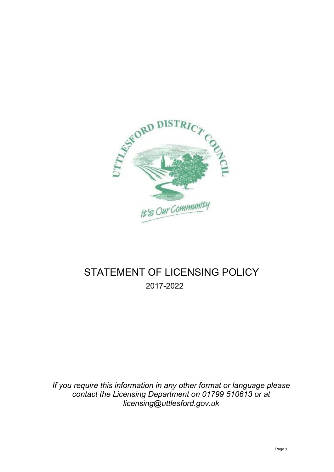

# STATEMENT OF LICENSING POLICY 2017-2022

*If you require this information in any other format or language please contact the Licensing Department on 01799 510613 or at [licensing@uttlesford.gov.uk](mailto:licensing@uttlesford.gov.uk)*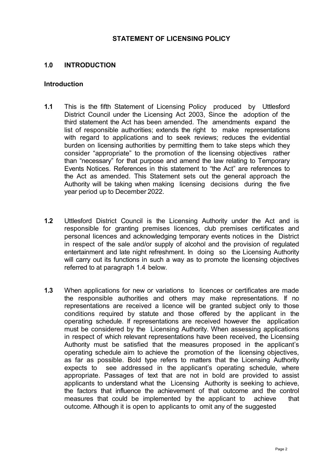#### **STATEMENT OF LICENSING POLICY**

#### **1.0 INTRODUCTION**

#### **Introduction**

- **1.1** This is the fifth Statement of Licensing Policy produced by Uttlesford District Council under the Licensing Act 2003, Since the adoption of the third statement the Act has been amended. The amendments expand the list of responsible authorities; extends the right to make representations with regard to applications and to seek reviews; reduces the evidential burden on licensing authorities by permitting them to take steps which they consider "appropriate" to the promotion of the licensing objectives rather than "necessary" for that purpose and amend the law relating to Temporary Events Notices. References in this statement to "the Act" are references to the Act as amended. This Statement sets out the general approach the Authority will be taking when making licensing decisions during the five year period up to December 2022.
- **1.2** Uttlesford District Council is the Licensing Authority under the Act and is responsible for granting premises licences, club premises certificates and personal licences and acknowledging temporary events notices in the District in respect of the sale and/or supply of alcohol and the provision of regulated entertainment and late night refreshment. In doing so the Licensing Authority will carry out its functions in such a way as to promote the licensing objectives referred to at paragraph 1.4 below.
- **1.3** When applications for new or variations to licences or certificates are made the responsible authorities and others may make representations. If no representations are received a licence will be granted subject only to those conditions required by statute and those offered by the applicant in the operating schedule. If representations are received however the application must be considered by the Licensing Authority. When assessing applications in respect of which relevant representations have been received, the Licensing Authority must be satisfied that the measures proposed in the applicant's operating schedule aim to achieve the promotion of the licensing objectives, as far as possible. Bold type refers to matters that the Licensing Authority expects to see addressed in the applicant's operating schedule, where appropriate. Passages of text that are not in bold are provided to assist applicants to understand what the Licensing Authority is seeking to achieve, the factors that influence the achievement of that outcome and the control measures that could be implemented by the applicant to achieve that outcome. Although it is open to applicants to omit any of the suggested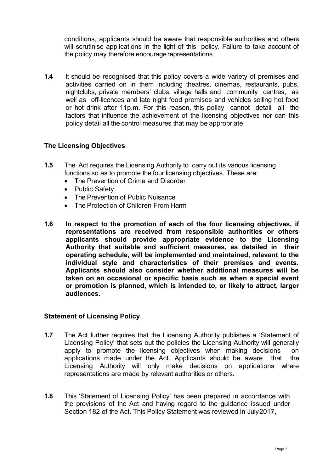conditions, applicants should be aware that responsible authorities and others will scrutinise applications in the light of this policy. Failure to take account of the policy may therefore encourage representations.

**1.4** It should be recognised that this policy covers a wide variety of premises and activities carried on in them including theatres, cinemas, restaurants, pubs, nightclubs, private members' clubs, village halls and community centres, as well as off-licences and late night food premises and vehicles selling hot food or hot drink after 11p.m. For this reason, this policy cannot detail all the factors that influence the achievement of the licensing objectives nor can this policy detail all the control measures that may be appropriate.

#### **The Licensing Objectives**

- **1.5** The Act requires the Licensing Authority to carry out its various licensing functions so as to promote the four licensing objectives. These are:
	- The Prevention of Crime and Disorder
	- Public Safety
	- The Prevention of Public Nuisance
	- The Protection of Children From Harm
- **1.6 In respect to the promotion of each of the four licensing objectives, if representations are received from responsible authorities or others applicants should provide appropriate evidence to the Licensing Authority that suitable and sufficient measures, as detailed in their operating schedule, will be implemented and maintained, relevant to the individual style and characteristics of their premises and events. Applicants should also consider whether additional measures will be taken on an occasional or specific basis such as when a special event or promotion is planned, which is intended to, or likely to attract, larger audiences.**

#### **Statement of Licensing Policy**

- **1.7** The Act further requires that the Licensing Authority publishes a 'Statement of Licensing Policy' that sets out the policies the Licensing Authority will generally apply to promote the licensing objectives when making decisions on applications made under the Act. Applicants should be aware that the Licensing Authority will only make decisions on applications where representations are made by relevant authorities or others.
- **1.8** This 'Statement of Licensing Policy' has been prepared in accordance with the provisions of the Act and having regard to the guidance issued under Section 182 of the Act. This Policy Statement was reviewed in July2017,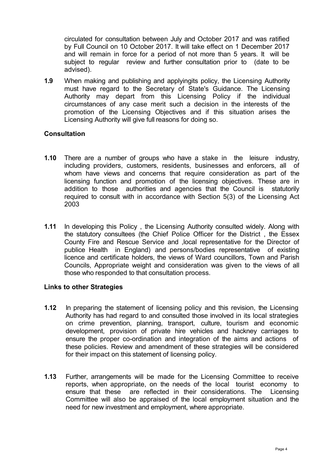circulated for consultation between July and October 2017 and was ratified by Full Council on 10 October 2017. It will take effect on 1 December 2017 and will remain in force for a period of not more than 5 years. It will be subject to regular review and further consultation prior to (date to be advised).

**1.9** When making and publishing and applyingits policy, the Licensing Authority must have regard to the Secretary of State's Guidance. The Licensing Authority may depart from this Licensing Policy if the individual circumstances of any case merit such a decision in the interests of the promotion of the Licensing Objectives and if this situation arises the Licensing Authority will give full reasons for doing so.

## **Consultation**

- **1.10** There are a number of groups who have a stake in the leisure industry, including providers, customers, residents, businesses and enforcers, all of whom have views and concerns that require consideration as part of the licensing function and promotion of the licensing objectives. These are in addition to those authorities and agencies that the Council is statutorily required to consult with in accordance with Section 5(3) of the Licensing Act 2003
- **1.11** In developing this Policy , the Licensing Authority consulted widely. Along with the statutory consultees (the Chief Police Officer for the District , the Essex County Fire and Rescue Service and ,local representative for the Director of publice Health in England) and persons/bodies representative of existing licence and certificate holders, the views of Ward councillors, Town and Parish Councils, Appropriate weight and consideration was given to the views of all those who responded to that consultation process.

#### **Links to other Strategies**

- **1.12** In preparing the statement of licensing policy and this revision, the Licensing Authority has had regard to and consulted those involved in its local strategies on crime prevention, planning, transport, culture, tourism and economic development, provision of private hire vehicles and hackney carriages to ensure the proper co-ordination and integration of the aims and actions of these policies. Review and amendment of these strategies will be considered for their impact on this statement of licensing policy.
- **1.13** Further, arrangements will be made for the Licensing Committee to receive reports, when appropriate, on the needs of the local tourist economy to ensure that these are reflected in their considerations. The Licensing Committee will also be appraised of the local employment situation and the need for new investment and employment, where appropriate.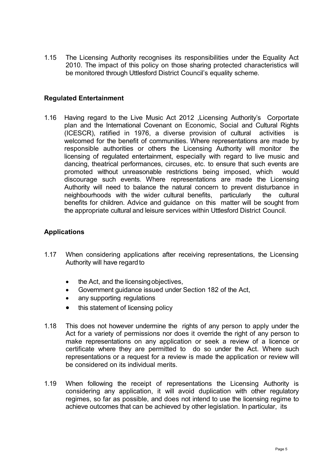1.15 The Licensing Authority recognises its responsibilities under the Equality Act 2010. The impact of this policy on those sharing protected characteristics will be monitored through Uttlesford District Council's equality scheme.

#### **Regulated Entertainment**

1.16 Having regard to the Live Music Act 2012 ,Licensing Authority's Corportate plan and the International Covenant on Economic, Social and Cultural Rights (ICESCR), ratified in 1976, a diverse provision of cultural activities is welcomed for the benefit of communities. Where representations are made by responsible authorities or others the Licensing Authority will monitor the licensing of regulated entertainment, especially with regard to live music and dancing, theatrical performances, circuses, etc. to ensure that such events are promoted without unreasonable restrictions being imposed, which would discourage such events. Where representations are made the Licensing Authority will need to balance the natural concern to prevent disturbance in neighbourhoods with the wider cultural benefits, particularly the cultural benefits for children. Advice and guidance on this matter will be sought from the appropriate cultural and leisure services within Uttlesford District Council.

#### **Applications**

- 1.17 When considering applications after receiving representations, the Licensing Authority will have regard to
	- the Act, and the licensing objectives,
	- Government guidance issued under Section 182 of the Act,
	- any supporting regulations
	- this statement of licensing policy
- 1.18 This does not however undermine the rights of any person to apply under the Act for a variety of permissions nor does it override the right of any person to make representations on any application or seek a review of a licence or certificate where they are permitted to do so under the Act. Where such representations or a request for a review is made the application or review will be considered on its individual merits.
- 1.19 When following the receipt of representations the Licensing Authority is considering any application, it will avoid duplication with other regulatory regimes, so far as possible, and does not intend to use the licensing regime to achieve outcomes that can be achieved by other legislation. In particular, its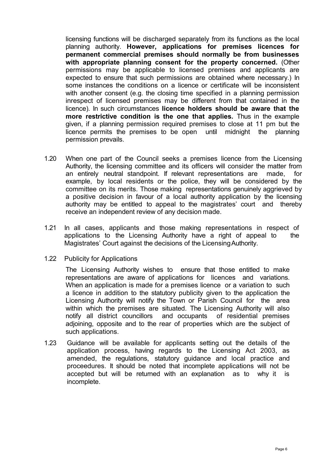licensing functions will be discharged separately from its functions as the local planning authority. **However, applications for premises licences for permanent commercial premises should normally be from businesses with appropriate planning consent for the property concerned.** (Other permissions may be applicable to licensed premises and applicants are expected to ensure that such permissions are obtained where necessary.) In some instances the conditions on a licence or certificate will be inconsistent with another consent (e.g. the closing time specified in a planning permission inrespect of licensed premises may be different from that contained in the licence). In such circumstances **licence holders should be aware that the more restrictive condition is the one that applies.** Thus in the example given, if a planning permission required premises to close at 11 pm but the licence permits the premises to be open until midnight the planning permission prevails.

- 1.20 When one part of the Council seeks a premises licence from the Licensing Authority, the licensing committee and its officers will consider the matter from an entirely neutral standpoint. If relevant representations are made, for example, by local residents or the police, they will be considered by the committee on its merits. Those making representations genuinely aggrieved by a positive decision in favour of a local authority application by the licensing authority may be entitled to appeal to the magistrates' court and thereby receive an independent review of any decision made.
- 1.21 In all cases, applicants and those making representations in respect of applications to the Licensing Authority have a right of appeal to the Magistrates' Court against the decisions of the LicensingAuthority.
- 1.22 Publicity for Applications

The Licensing Authority wishes to ensure that those entitled to make representations are aware of applications for licences and variations. When an application is made for a premises licence or a variation to such a licence in addition to the statutory publicity given to the application the Licensing Authority will notify the Town or Parish Council for the area within which the premises are situated. The Licensing Authority will also notify all district councillors and occupants of residential premises adjoining, opposite and to the rear of properties which are the subject of such applications.

1.23 Guidance will be available for applicants setting out the details of the application process, having regards to the Licensing Act 2003, as amended, the regulations, statutory guidance and local practice and proceedures. It should be noted that incomplete applications will not be accepted but will be returned with an explanation as to why it is incomplete.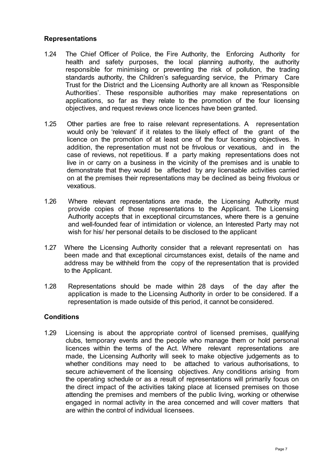#### **Representations**

- 1.24 The Chief Officer of Police, the Fire Authority, the Enforcing Authority for health and safety purposes, the local planning authority, the authority responsible for minimising or preventing the risk of pollution, the trading standards authority, the Children's safeguarding service, the Primary Care Trust for the District and the Licensing Authority are all known as 'Responsible Authorities'. These responsible authorities may make representations on applications, so far as they relate to the promotion of the four licensing objectives, and request reviews once licences have been granted.
- 1.25 Other parties are free to raise relevant representations. A representation would only be 'relevant' if it relates to the likely effect of the grant of the licence on the promotion of at least one of the four licensing objectives. In addition, the representation must not be frivolous or vexatious, and in the case of reviews, not repetitious. If a party making representations does not live in or carry on a business in the vicinity of the premises and is unable to demonstrate that they would be affected by any licensable activities carried on at the premises their representations may be declined as being frivolous or vexatious.
- 1.26 Where relevant representations are made, the Licensing Authority must provide copies of those representations to the Applicant. The Licensing Authority accepts that in exceptional circumstances, where there is a genuine and well-founded fear of intimidation or violence, an Interested Party may not wish for his/ her personal details to be disclosed to the applicant
- 1.27 Where the Licensing Authority consider that a relevant representati on has been made and that exceptional circumstances exist, details of the name and address may be withheld from the copy of the representation that is provided to the Applicant.
- 1.28 Representations should be made within 28 days of the day after the application is made to the Licensing Authority in order to be considered. If a representation is made outside of this period, it cannot be considered.

#### **Conditions**

1.29 Licensing is about the appropriate control of licensed premises, qualifying clubs, temporary events and the people who manage them or hold personal licences within the terms of the Act. Where relevant representations are made, the Licensing Authority will seek to make objective judgements as to whether conditions may need to be attached to various authorisations, to secure achievement of the licensing objectives. Any conditions arising from the operating schedule or as a result of representations will primarily focus on the direct impact of the activities taking place at licensed premises on those attending the premises and members of the public living, working or otherwise engaged in normal activity in the area concerned and will cover matters that are within the control of individual licensees.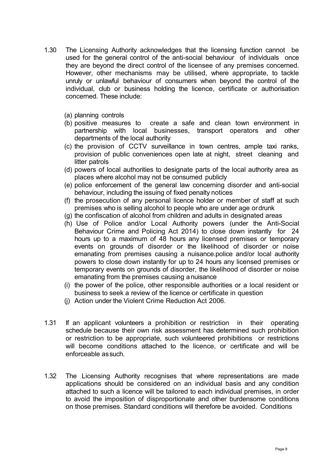- 1.30 The Licensing Authority acknowledges that the licensing function cannot be used for the general control of the anti-social behaviour of individuals once they are beyond the direct control of the licensee of any premises concerned. However, other mechanisms may be utilised, where appropriate, to tackle unruly or unlawful behaviour of consumers when beyond the control of the individual, club or business holding the licence, certificate or authorisation concerned. These include:
	- (a) planning controls
	- (b) positive measures to create a safe and clean town environment in partnership with local businesses, transport operators and other departments of the local authority
	- (c) the provision of CCTV surveillance in town centres, ample taxi ranks, provision of public conveniences open late at night, street cleaning and litter patrols
	- (d) powers of local authorities to designate parts of the local authority area as places where alcohol may not be consumed publicly
	- (e) police enforcement of the general law concerning disorder and anti-social behaviour, including the issuing of fixed penalty notices
	- (f) the prosecution of any personal licence holder or member of staff at such premises who is selling alcohol to people who are under age ordrunk
	- (g) the confiscation of alcohol from children and adults in designated areas
	- (h) Use of Police and/or Local Authority powers (under the Anti-Social Behaviour Crime and Policing Act 2014) to close down instantly for 24 hours up to a maximum of 48 hours any licensed premises or temporary events on grounds of disorder or the likelihood of disorder or noise emanating from premises causing a nuisance.police and/or local authority powers to close down instantly for up to 24 hours any licensed premises or temporary events on grounds of disorder, the likelihood of disorder or noise emanating from the premises causing anuisance
	- (i) the power of the police, other responsible authorities or a local resident or business to seek a review of the licence or certificate in question
	- (j) Action under the Violent Crime Reduction Act 2006.
- 1.31 If an applicant volunteers a prohibition or restriction in their operating schedule because their own risk assessment has determined such prohibition or restriction to be appropriate, such volunteered prohibitions or restrictions will become conditions attached to the licence, or certificate and will be enforceable assuch.
- 1.32 The Licensing Authority recognises that where representations are made applications should be considered on an individual basis and any condition attached to such a licence will be tailored to each individual premises, in order to avoid the imposition of disproportionate and other burdensome conditions on those premises. Standard conditions will therefore be avoided. Conditions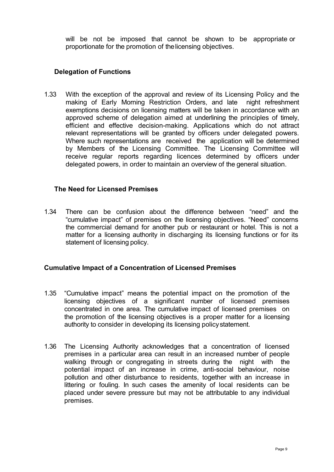will be not be imposed that cannot be shown to be appropriate or proportionate for the promotion of thelicensing objectives.

## **Delegation of Functions**

1.33 With the exception of the approval and review of its Licensing Policy and the making of Early Morning Restriction Orders, and late night refreshment exemptions decisions on licensing matters will be taken in accordance with an approved scheme of delegation aimed at underlining the principles of timely, efficient and effective decision-making. Applications which do not attract relevant representations will be granted by officers under delegated powers. Where such representations are received the application will be determined by Members of the Licensing Committee. The Licensing Committee will receive regular reports regarding licences determined by officers under delegated powers, in order to maintain an overview of the general situation.

## **The Need for Licensed Premises**

1.34 There can be confusion about the difference between "need" and the "cumulative impact" of premises on the licensing objectives. "Need" concerns the commercial demand for another pub or restaurant or hotel. This is not a matter for a licensing authority in discharging its licensing functions or for its statement of licensing policy.

## **Cumulative Impact of a Concentration of Licensed Premises**

- 1.35 "Cumulative impact" means the potential impact on the promotion of the licensing objectives of a significant number of licensed premises concentrated in one area. The cumulative impact of licensed premises on the promotion of the licensing objectives is a proper matter for a licensing authority to consider in developing its licensing policystatement.
- 1.36 The Licensing Authority acknowledges that a concentration of licensed premises in a particular area can result in an increased number of people walking through or congregating in streets during the night with the potential impact of an increase in crime, anti-social behaviour, noise pollution and other disturbance to residents, together with an increase in littering or fouling. In such cases the amenity of local residents can be placed under severe pressure but may not be attributable to any individual premises.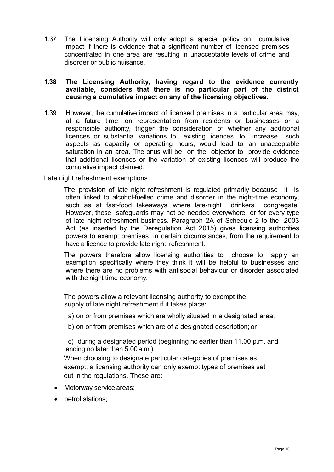1.37 The Licensing Authority will only adopt a special policy on cumulative impact if there is evidence that a significant number of licensed premises concentrated in one area are resulting in unacceptable levels of crime and disorder or public nuisance.

#### **1.38 The Licensing Authority, having regard to the evidence currently available, considers that there is no particular part of the district causing a cumulative impact on any of the licensing objectives.**

1.39 However, the cumulative impact of licensed premises in a particular area may, at a future time, on representation from residents or businesses or a responsible authority, trigger the consideration of whether any additional licences or substantial variations to existing licences, to increase such aspects as capacity or operating hours, would lead to an unacceptable saturation in an area. The onus will be on the objector to provide evidence that additional licences or the variation of existing licences will produce the cumulative impact claimed.

Late night refreshment exemptions

The provision of late night refreshment is regulated primarily because it is often linked to alcohol-fuelled crime and disorder in the night-time economy, such as at fast-food takeaways where late-night drinkers congregate. However, these safeguards may not be needed everywhere or for every type of late night refreshment business. Paragraph 2A of Schedule 2 to the 2003 Act (as inserted by the Deregulation Act 2015) gives licensing authorities powers to exempt premises, in certain circumstances, from the requirement to have a licence to provide late night refreshment.

The powers therefore allow licensing authorities to choose to apply an exemption specifically where they think it will be helpful to businesses and where there are no problems with antisocial behaviour or disorder associated with the night time economy.

The powers allow a relevant licensing authority to exempt the supply of late night refreshment if it takes place:

a) on or from premises which are wholly situated in a designated area;

b) on or from premises which are of a designated description; or

c) during a designated period (beginning no earlier than 11.00 p.m. and ending no later than 5.00a.m.).

When choosing to designate particular categories of premises as exempt, a licensing authority can only exempt types of premises set out in the regulations. These are:

- Motorway service areas;
- petrol stations;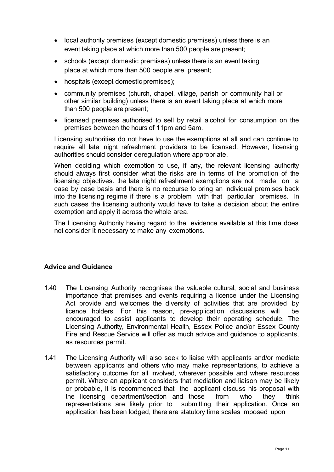- local authority premises (except domestic premises) unless there is an event taking place at which more than 500 people are present;
- schools (except domestic premises) unless there is an event taking place at which more than 500 people are present;
- hospitals (except domestic premises);
- community premises (church, chapel, village, parish or community hall or other similar building) unless there is an event taking place at which more than 500 people are present;
- licensed premises authorised to sell by retail alcohol for consumption on the premises between the hours of 11pm and 5am.

Licensing authorities do not have to use the exemptions at all and can continue to require all late night refreshment providers to be licensed. However, licensing authorities should consider deregulation where appropriate.

When deciding which exemption to use, if any, the relevant licensing authority should always first consider what the risks are in terms of the promotion of the licensing objectives. the late night refreshment exemptions are not made on a case by case basis and there is no recourse to bring an individual premises back into the licensing regime if there is a problem with that particular premises. In such cases the licensing authority would have to take a decision about the entire exemption and apply it across the whole area.

The Licensing Authority having regard to the evidence available at this time does not consider it necessary to make any exemptions.

## **Advice and Guidance**

- 1.40 The Licensing Authority recognises the valuable cultural, social and business importance that premises and events requiring a licence under the Licensing Act provide and welcomes the diversity of activities that are provided by licence holders. For this reason, pre-application discussions will be encouraged to assist applicants to develop their operating schedule. The Licensing Authority, Environmental Health, Essex Police and/or Essex County Fire and Rescue Service will offer as much advice and guidance to applicants, as resources permit.
- 1.41 The Licensing Authority will also seek to liaise with applicants and/or mediate between applicants and others who may make representations, to achieve a satisfactory outcome for all involved, wherever possible and where resources permit. Where an applicant considers that mediation and liaison may be likely or probable, it is recommended that the applicant discuss his proposal with the licensing department/section and those from who they think representations are likely prior to submitting their application. Once an application has been lodged, there are statutory time scales imposed upon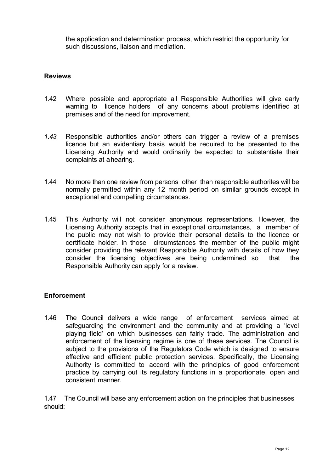the application and determination process, which restrict the opportunity for such discussions, liaison and mediation.

## **Reviews**

- 1.42 Where possible and appropriate all Responsible Authorities will give early warning to licence holders of any concerns about problems identified at premises and of the need for improvement.
- *1.43* Responsible authorities and/or others can trigger a review of a premises licence but an evidentiary basis would be required to be presented to the Licensing Authority and would ordinarily be expected to substantiate their complaints at ahearing*.*
- 1.44 No more than one review from persons other than responsible authorites will be normally permitted within any 12 month period on similar grounds except in exceptional and compelling circumstances.
- 1.45 This Authority will not consider anonymous representations. However, the Licensing Authority accepts that in exceptional circumstances, a member of the public may not wish to provide their personal details to the licence or certificate holder. In those circumstances the member of the public might consider providing the relevant Responsible Authority with details of how they consider the licensing objectives are being undermined so that the Responsible Authority can apply for a review.

## **Enforcement**

1.46 The Council delivers a wide range of enforcement services aimed at safeguarding the environment and the community and at providing a 'level playing field' on which businesses can fairly trade. The administration and enforcement of the licensing regime is one of these services. The Council is subject to the provisions of the Regulators Code which is designed to ensure effective and efficient public protection services. Specifically, the Licensing Authority is committed to accord with the principles of good enforcement practice by carrying out its regulatory functions in a proportionate, open and consistent manner.

1.47 The Council will base any enforcement action on the principles that businesses should: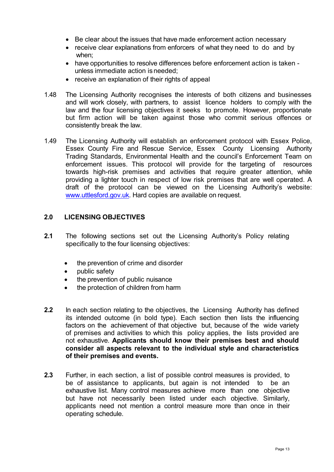- Be clear about the issues that have made enforcement action necessary
- receive clear explanations from enforcers of what they need to do and by when;
- have opportunities to resolve differences before enforcement action is taken unless immediate action is needed;
- receive an explanation of their rights of appeal
- 1.48 The Licensing Authority recognises the interests of both citizens and businesses and will work closely, with partners, to assist licence holders to comply with the law and the four licensing objectives it seeks to promote. However, proportionate but firm action will be taken against those who commit serious offences or consistently break the law.
- 1.49 The Licensing Authority will establish an enforcement protocol with Essex Police, Essex County Fire and Rescue Service, Essex County Licensing Authority Trading Standards, Environmental Health and the council's Enforcement Team on enforcement issues. This protocol will provide for the targeting of resources towards high-risk premises and activities that require greater attention, while providing a lighter touch in respect of low risk premises that are well operated. A draft of the protocol can be viewed on the Licensing Authority's website[:](http://www.uttlesford.gov.uk/) [www.uttlesford.gov.uk.](http://www.uttlesford.gov.uk/) Hard copies are available on request.

## **2.0 LICENSING OBJECTIVES**

- **2.1** The following sections set out the Licensing Authority's Policy relating specifically to the four licensing objectives:
	- the prevention of crime and disorder
	- public safety
	- the prevention of public nuisance
	- the protection of children from harm
- **2.2** In each section relating to the objectives, the Licensing Authority has defined its intended outcome (in bold type). Each section then lists the influencing factors on the achievement of that objective but, because of the wide variety of premises and activities to which this policy applies, the lists provided are not exhaustive. **Applicants should know their premises best and should consider all aspects relevant to the individual style and characteristics of their premises and events.**
- **2.3** Further, in each section, a list of possible control measures is provided, to be of assistance to applicants, but again is not intended to be an exhaustive list. Many control measures achieve more than one objective but have not necessarily been listed under each objective. Similarly, applicants need not mention a control measure more than once in their operating schedule.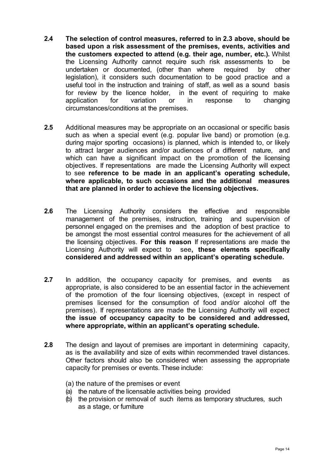- **2.4 The selection of control measures, referred to in 2.3 above, should be based upon a risk assessment of the premises, events, activities and the customers expected to attend (e.g. their age, number, etc.).** Whilst the Licensing Authority cannot require such risk assessments to be undertaken or documented, (other than where required by other legislation), it considers such documentation to be good practice and a useful tool in the instruction and training of staff, as well as a sound basis for review by the licence holder, in the event of requiring to make application for variation or in response to changing circumstances/conditions at the premises.
- **2.5** Additional measures may be appropriate on an occasional or specific basis such as when a special event (e.g. popular live band) or promotion (e.g. during major sporting occasions) is planned, which is intended to, or likely to attract larger audiences and/or audiences of a different nature, and which can have a significant impact on the promotion of the licensing objectives. If representations are made the Licensing Authority will expect to see **reference to be made in an applicant's operating schedule, where applicable, to such occasions and the additional measures that are planned in order to achieve the licensing objectives.**
- **2.6** The Licensing Authority considers the effective and responsible management of the premises, instruction, training and supervision of personnel engaged on the premises and the adoption of best practice to be amongst the most essential control measures for the achievement of all the licensing objectives. **For this reason** If representations are made the Licensing Authority will expect to see**, these elements specifically considered and addressed within an applicant's operating schedule.**
- **2.7** In addition, the occupancy capacity for premises, and events as appropriate, is also considered to be an essential factor in the achievement of the promotion of the four licensing objectives, (except in respect of premises licensed for the consumption of food and/or alcohol off the premises). If representations are made the Licensing Authority will expect **the issue of occupancy capacity to be considered and addressed, where appropriate, within an applicant's operating schedule.**
- **2.8** The design and layout of premises are important in determining capacity, as is the availability and size of exits within recommended travel distances. Other factors should also be considered when assessing the appropriate capacity for premises or events. These include:
	- (a) the nature of the premises or event
	- (a) the nature of the licensable activities being provided
	- (b) the provision or removal of such items as temporary structures, such as a stage, or furniture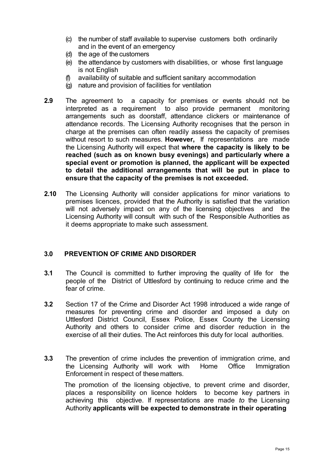- (c) the number of staff available to supervise customers both ordinarily and in the event of an emergency
- (d) the age of the customers
- (e) the attendance by customers with disabilities, or whose first language is not English
- (f) availability of suitable and sufficient sanitary accommodation
- (g) nature and provision of facilities for ventilation
- **2.9** The agreement to a capacity for premises or events should not be interpreted as a requirement to also provide permanent monitoring arrangements such as doorstaff, attendance clickers or maintenance of attendance records. The Licensing Authority recognises that the person in charge at the premises can often readily assess the capacity of premises without resort to such measures. **However,** If representations are made the Licensing Authority will expect that **where the capacity is likely to be reached (such as on known busy evenings) and particularly where a special event or promotion is planned, the applicant will be expected to detail the additional arrangements that will be put in place to ensure that the capacity of the premises is not exceeded.**
- **2.10** The Licensing Authority will consider applications for minor variations to premises licences, provided that the Authority is satisfied that the variation will not adversely impact on any of the licensing objectives and the Licensing Authority will consult with such of the Responsible Authorities as it deems appropriate to make such assessment.

## **3.0 PREVENTION OF CRIME AND DISORDER**

- **3.1** The Council is committed to further improving the quality of life for the people of the District of Uttlesford by continuing to reduce crime and the fear of crime.
- **3.2** Section 17 of the Crime and Disorder Act 1998 introduced a wide range of measures for preventing crime and disorder and imposed a duty on Uttlesford District Council, Essex Police, Essex County the Licensing Authority and others to consider crime and disorder reduction in the exercise of all their duties. The Act reinforces this duty for local authorities.
- **3.3** The prevention of crime includes the prevention of immigration crime, and the Licensing Authority will work with Home Office Immigration Enforcement in respect of these matters.

The promotion of the licensing objective, to prevent crime and disorder, places a responsibility on licence holders to become key partners in achieving this objective. If representations are made *to* the Licensing Authority **applicants will be expected to demonstrate in their operating**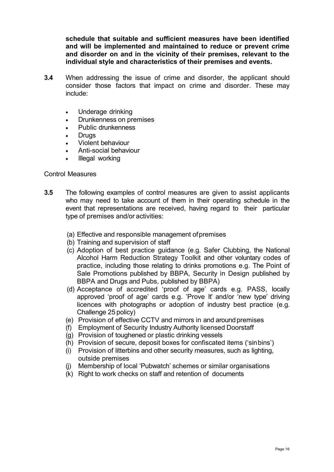**schedule that suitable and sufficient measures have been identified and will be implemented and maintained to reduce or prevent crime and disorder on and in the vicinity of their premises, relevant to the individual style and characteristics of their premises and events.**

- **3.4** When addressing the issue of crime and disorder, the applicant should consider those factors that impact on crime and disorder. These may include:
	- Underage drinking
	- Drunkenness on premises
	- Public drunkenness
	- **Drugs**
	- Violent behaviour
	- Anti-social behaviour
	- Illegal working

#### Control Measures

- **3.5** The following examples of control measures are given to assist applicants who may need to take account of them in their operating schedule in the event that representations are received, having regard to their particular type of premises and/or activities:
	- (a) Effective and responsible management ofpremises
	- (b) Training and supervision of staff
	- (c) Adoption of best practice guidance (e.g. Safer Clubbing, the National Alcohol Harm Reduction Strategy Toolkit and other voluntary codes of practice, including those relating to drinks promotions e.g. The Point of Sale Promotions published by BBPA, Security in Design published by BBPA and Drugs and Pubs, published by BBPA)
	- (d) Acceptance of accredited 'proof of age' cards e.g. PASS, locally approved 'proof of age' cards e.g. 'Prove It' and/or 'new type' driving licences with photographs or adoption of industry best practice (e.g. Challenge 25 policy)
	- (e) Provision of effective CCTV and mirrors in and around premises
	- (f) Employment of Security Industry Authority licensed Doorstaff
	- (g) Provision of toughened or plastic drinking vessels
	- (h) Provision of secure, deposit boxes for confiscated items ('sinbins')
	- (i) Provision of litterbins and other security measures, such as lighting, outside premises
	- (j) Membership of local 'Pubwatch' schemes or similar organisations
	- (k) Right to work checks on staff and retention of documents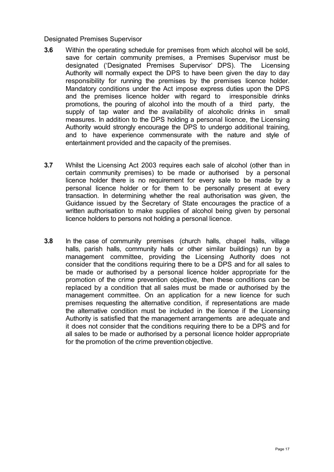#### Designated Premises Supervisor

- **3.6** Within the operating schedule for premises from which alcohol will be sold, save for certain community premises, a Premises Supervisor must be designated ('Designated Premises Supervisor' DPS). The Licensing Authority will normally expect the DPS to have been given the day to day responsibility for running the premises by the premises licence holder. Mandatory conditions under the Act impose express duties upon the DPS and the premises licence holder with regard to irresponsible drinks promotions, the pouring of alcohol into the mouth of a third party, the supply of tap water and the availability of alcoholic drinks in small measures. In addition to the DPS holding a personal licence, the Licensing Authority would strongly encourage the DPS to undergo additional training, and to have experience commensurate with the nature and style of entertainment provided and the capacity of the premises.
- **3.7** Whilst the Licensing Act 2003 requires each sale of alcohol (other than in certain community premises) to be made or authorised by a personal licence holder there is no requirement for every sale to be made by a personal licence holder or for them to be personally present at every transaction. In determining whether the real authorisation was given, the Guidance issued by the Secretary of State encourages the practice of a written authorisation to make supplies of alcohol being given by personal licence holders to persons not holding a personal licence.
- **3.8** In the case of community premises (church halls, chapel halls, village halls, parish halls, community halls or other similar buildings) run by a management committee, providing the Licensing Authority does not consider that the conditions requiring there to be a DPS and for all sales to be made or authorised by a personal licence holder appropriate for the promotion of the crime prevention objective, then these conditions can be replaced by a condition that all sales must be made or authorised by the management committee. On an application for a new licence for such premises requesting the alternative condition, if representations are made the alternative condition must be included in the licence if the Licensing Authority is satisfied that the management arrangements are adequate and it does not consider that the conditions requiring there to be a DPS and for all sales to be made or authorised by a personal licence holder appropriate for the promotion of the crime prevention objective.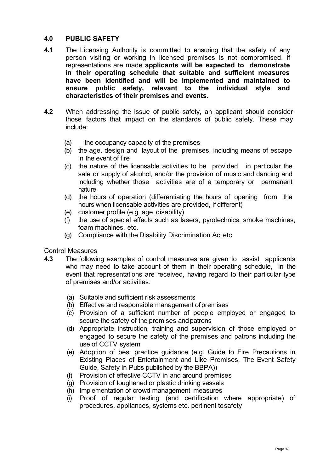## **4.0 PUBLIC SAFETY**

- **4.1** The Licensing Authority is committed to ensuring that the safety of any person visiting or working in licensed premises is not compromised. If representations are made **applicants will be expected to demonstrate in their operating schedule that suitable and sufficient measures have been identified and will be implemented and maintained to ensure public safety, relevant to the individual style and characteristics of their premises and events.**
- **4.2** When addressing the issue of public safety, an applicant should consider those factors that impact on the standards of public safety. These may include:
	- (a) the occupancy capacity of the premises
	- (b) the age, design and layout of the premises, including means of escape in the event of fire
	- (c) the nature of the licensable activities to be provided, in particular the sale or supply of alcohol, and/or the provision of music and dancing and including whether those activities are of a temporary or permanent nature
	- (d) the hours of operation (differentiating the hours of opening from the hours when licensable activities are provided, if different)
	- (e) customer profile (e.g. age, disability)
	- (f) the use of special effects such as lasers, pyrotechnics, smoke machines, foam machines, etc.
	- (g) Compliance with the Disability Discrimination Act etc

Control Measures

- **4.3** The following examples of control measures are given to assist applicants who may need to take account of them in their operating schedule, in the event that representations are received, having regard to their particular type of premises and/or activities:
	- (a) Suitable and sufficient risk assessments
	- (b) Effective and responsible management ofpremises
	- (c) Provision of a sufficient number of people employed or engaged to secure the safety of the premises and patrons
	- (d) Appropriate instruction, training and supervision of those employed or engaged to secure the safety of the premises and patrons including the use of CCTV system
	- (e) Adoption of best practice guidance (e.g. Guide to Fire Precautions in Existing Places of Entertainment and Like Premises, The Event Safety Guide, Safety in Pubs published by the BBPA))
	- (f) Provision of effective CCTV in and around premises
	- (g) Provision of toughened or plastic drinking vessels
	- (h) Implementation of crowd management measures
	- (i) Proof of regular testing (and certification where appropriate) of procedures, appliances, systems etc. pertinent tosafety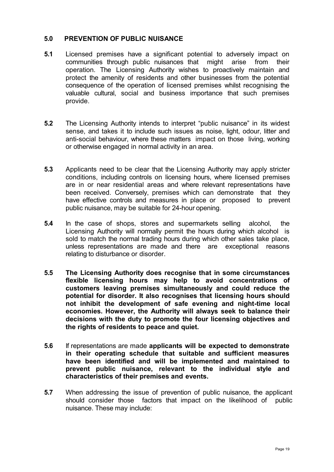#### **5.0 PREVENTION OF PUBLIC NUISANCE**

- **5.1** Licensed premises have a significant potential to adversely impact on communities through public nuisances that might arise from their operation. The Licensing Authority wishes to proactively maintain and protect the amenity of residents and other businesses from the potential consequence of the operation of licensed premises whilst recognising the valuable cultural, social and business importance that such premises provide.
- **5.2** The Licensing Authority intends to interpret "public nuisance" in its widest sense, and takes it to include such issues as noise, light, odour, litter and anti-social behaviour, where these matters impact on those living, working or otherwise engaged in normal activity in an area.
- **5.3** Applicants need to be clear that the Licensing Authority may apply stricter conditions, including controls on licensing hours, where licensed premises are in or near residential areas and where relevant representations have been received. Conversely, premises which can demonstrate that they have effective controls and measures in place or proposed to prevent public nuisance, may be suitable for 24-hour opening.
- **5.4** In the case of shops, stores and supermarkets selling alcohol, the Licensing Authority will normally permit the hours during which alcohol is sold to match the normal trading hours during which other sales take place, unless representations are made and there are exceptional reasons relating to disturbance or disorder.
- **5.5 The Licensing Authority does recognise that in some circumstances flexible licensing hours may help to avoid concentrations of customers leaving premises simultaneously and could reduce the potential for disorder. It also recognises that licensing hours should not inhibit the development of safe evening and night-time local economies. However, the Authority will always seek to balance their decisions with the duty to promote the four licensing objectives and the rights of residents to peace and quiet.**
- **5.6** If representations are made **applicants will be expected to demonstrate in their operating schedule that suitable and sufficient measures have been identified and will be implemented and maintained to prevent public nuisance, relevant to the individual style and characteristics of their premises and events.**
- **5.7** When addressing the issue of prevention of public nuisance, the applicant should consider those factors that impact on the likelihood of public nuisance. These may include: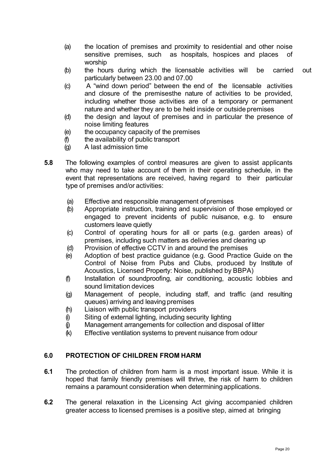- (a) the location of premises and proximity to residential and other noise sensitive premises, such as hospitals, hospices and places of worship
- (b) the hours during which the licensable activities will be carried out particularly between 23.00 and 07.00
- (c) A "wind down period" between the end of the licensable activities and closure of the premisesthe nature of activities to be provided, including whether those activities are of a temporary or permanent nature and whether they are to be held inside or outside premises
- (d) the design and layout of premises and in particular the presence of noise limiting features
- (e) the occupancy capacity of the premises
- (f) the availability of public transport
- (g) A last admission time
- **5.8** The following examples of control measures are given to assist applicants who may need to take account of them in their operating schedule, in the event that representations are received, having regard to their particular type of premises and/or activities:
	- (a) Effective and responsible management ofpremises
	- (b) Appropriate instruction, training and supervision of those employed or engaged to prevent incidents of public nuisance, e.g. to ensure customers leave quietly
	- (c) Control of operating hours for all or parts (e.g. garden areas) of premises, including such matters as deliveries and clearing up
	- (d) Provision of effective CCTV in and around the premises
	- (e) Adoption of best practice guidance (e.g. Good Practice Guide on the Control of Noise from Pubs and Clubs, produced by Institute of Acoustics, Licensed Property: Noise, published by BBPA)
	- (f) Installation of soundproofing, air conditioning, acoustic lobbies and sound limitation devices
	- (g) Management of people, including staff, and traffic (and resulting queues) arriving and leaving premises
	- (h) Liaison with public transport providers
	- (i) Siting of external lighting, including security lighting
	- (j) Management arrangements for collection and disposal of litter
	- (k) Effective ventilation systems to prevent nuisance from odour

## **6.0 PROTECTION OF CHILDREN FROM HARM**

- **6.1** The protection of children from harm is a most important issue. While it is hoped that family friendly premises will thrive, the risk of harm to children remains a paramount consideration when determining applications.
- **6.2** The general relaxation in the Licensing Act giving accompanied children greater access to licensed premises is a positive step, aimed at bringing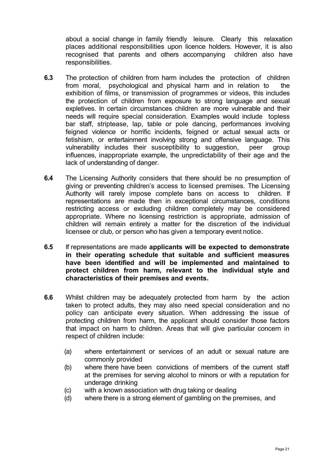about a social change in family friendly leisure. Clearly this relaxation places additional responsibilities upon licence holders. However, it is also recognised that parents and others accompanying children also have responsibilities.

- **6.3** The protection of children from harm includes the protection of children from moral, psychological and physical harm and in relation to the exhibition of films, or transmission of programmes or videos, this includes the protection of children from exposure to strong language and sexual expletives. In certain circumstances children are more vulnerable and their needs will require special consideration. Examples would include topless bar staff, striptease, lap, table or pole dancing, performances involving feigned violence or horrific incidents, feigned or actual sexual acts or fetishism, or entertainment involving strong and offensive language. This vulnerability includes their susceptibility to suggestion, peer group influences, inappropriate example, the unpredictability of their age and the lack of understanding of danger.
- **6.4** The Licensing Authority considers that there should be no presumption of giving or preventing children's access to licensed premises. The Licensing Authority will rarely impose complete bans on access to children. If representations are made then in exceptional circumstances, conditions restricting access or excluding children completely may be considered appropriate. Where no licensing restriction is appropriate, admission of children will remain entirely a matter for the discretion of the individual licensee or club, or person who has given a temporary event notice.
- **6.5** If representations are made **applicants will be expected to demonstrate in their operating schedule that suitable and sufficient measures have been identified and will be implemented and maintained to protect children from harm, relevant to the individual style and characteristics of their premises and events.**
- **6.6** Whilst children may be adequately protected from harm by the action taken to protect adults, they may also need special consideration and no policy can anticipate every situation. When addressing the issue of protecting children from harm, the applicant should consider those factors that impact on harm to children. Areas that will give particular concern in respect of children include:
	- (a) where entertainment or services of an adult or sexual nature are commonly provided
	- (b) where there have been convictions of members of the current staff at the premises for serving alcohol to minors or with a reputation for underage drinking
	- (c) with a known association with drug taking or dealing
	- (d) where there is a strong element of gambling on the premises, and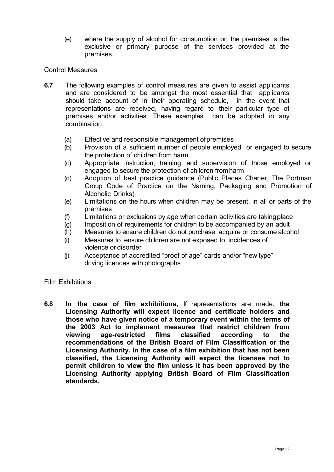(e) where the supply of alcohol for consumption on the premises is the exclusive or primary purpose of the services provided at the premises.

#### Control Measures

- **6.7** The following examples of control measures are given to assist applicants and are considered to be amongst the most essential that applicants should take account of in their operating schedule, in the event that representations are received, having regard to their particular type of premises and/or activities. These examples can be adopted in any combination:
	- (a) Effective and responsible management ofpremises
	- (b) Provision of a sufficient number of people employed or engaged to secure the protection of children from harm
	- (c) Appropriate instruction, training and supervision of those employed or engaged to secure the protection of children fromharm
	- (d) Adoption of best practice guidance (Public Places Charter, The Portman Group Code of Practice on the Naming, Packaging and Promotion of Alcoholic Drinks)
	- (e) Limitations on the hours when children may be present, in all or parts of the premises
	- (f) Limitations or exclusions by age when certain activities are takingplace
	- (g) Imposition of requirements for children to be accompanied by an adult
	- (h) Measures to ensure children do not purchase, acquire or consume alcohol
	- (i) Measures to ensure children are not exposed to incidences of violence or disorder
	- (j) Acceptance of accredited "proof of age" cards and/or "new type" driving licences with photographs

#### Film Exhibitions

**6.8 In the case of film exhibitions,** If representations are made, **the Licensing Authority will expect licence and certificate holders and those who have given notice of a temporary event within the terms of the 2003 Act to implement measures that restrict children from viewing age-restricted films classified according to the recommendations of the British Board of Film Classification or the Licensing Authority. In the case of a film exhibition that has not been classified, the Licensing Authority will expect the licensee not to permit children to view the film unless it has been approved by the Licensing Authority applying British Board of Film Classification standards.**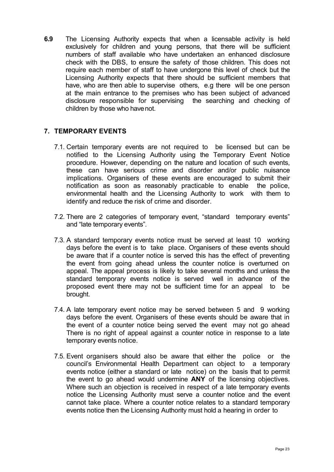**6.9** The Licensing Authority expects that when a licensable activity is held exclusively for children and young persons, that there will be sufficient numbers of staff available who have undertaken an enhanced disclosure check with the DBS, to ensure the safety of those children. This does not require each member of staff to have undergone this level of check but the Licensing Authority expects that there should be sufficient members that have, who are then able to supervise others, e.g there will be one person at the main entrance to the premises who has been subject of advanced disclosure responsible for supervising the searching and checking of children by those who havenot.

## **7. TEMPORARY EVENTS**

- 7.1. Certain temporary events are not required to be licensed but can be notified to the Licensing Authority using the Temporary Event Notice procedure. However, depending on the nature and location of such events, these can have serious crime and disorder and/or public nuisance implications. Organisers of these events are encouraged to submit their notification as soon as reasonably practicable to enable the police, environmental health and the Licensing Authority to work with them to identify and reduce the risk of crime and disorder.
- 7.2. There are 2 categories of temporary event, "standard temporary events" and "late temporary events".
- 7.3. A standard temporary events notice must be served at least 10 working days before the event is to take place. Organisers of these events should be aware that if a counter notice is served this has the effect of preventing the event from going ahead unless the counter notice is overturned on appeal. The appeal process is likely to take several months and unless the standard temporary events notice is served well in advance of the proposed event there may not be sufficient time for an appeal to be brought.
- 7.4. A late temporary event notice may be served between 5 and 9 working days before the event. Organisers of these events should be aware that in the event of a counter notice being served the event may not go ahead There is no right of appeal against a counter notice in response to a late temporary events notice.
- 7.5. Event organisers should also be aware that either the police or the council's Environmental Health Department can object to a temporary events notice (either a standard or late notice) on the basis that to permit the event to go ahead would undermine **ANY** of the licensing objectives. Where such an objection is received in respect of a late temporary events notice the Licensing Authority must serve a counter notice and the event cannot take place. Where a counter notice relates to a standard temporary events notice then the Licensing Authority must hold a hearing in order to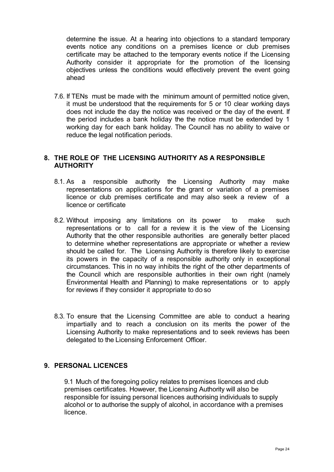determine the issue. At a hearing into objections to a standard temporary events notice any conditions on a premises licence or club premises certificate may be attached to the temporary events notice if the Licensing Authority consider it appropriate for the promotion of the licensing objectives unless the conditions would effectively prevent the event going ahead

7.6. If TENs must be made with the minimum amount of permitted notice given, it must be understood that the requirements for 5 or 10 clear working days does not include the day the notice was received or the day of the event. If the period includes a bank holiday the the notice must be extended by 1 working day for each bank holiday. The Council has no ability to waive or reduce the legal notification periods.

## **8. THE ROLE OF THE LICENSING AUTHORITY AS A RESPONSIBLE AUTHORITY**

- 8.1. As a responsible authority the Licensing Authority may make representations on applications for the grant or variation of a premises licence or club premises certificate and may also seek a review of a licence or certificate
- 8.2. Without imposing any limitations on its power to make such representations or to call for a review it is the view of the Licensing Authority that the other responsible authorities are generally better placed to determine whether representations are appropriate or whether a review should be called for. The Licensing Authority is therefore likely to exercise its powers in the capacity of a responsible authority only in exceptional circumstances. This in no way inhibits the right of the other departments of the Council which are responsible authorities in their own right (namely Environmental Health and Planning) to make representations or to apply for reviews if they consider it appropriate to do so
- 8.3. To ensure that the Licensing Committee are able to conduct a hearing impartially and to reach a conclusion on its merits the power of the Licensing Authority to make representations and to seek reviews has been delegated to the Licensing Enforcement Officer.

## **9. PERSONAL LICENCES**

9.1 Much of the foregoing policy relates to premises licences and club premises certificates. However, the Licensing Authority will also be responsible for issuing personal licences authorising individuals to supply alcohol or to authorise the supply of alcohol, in accordance with a premises licence.